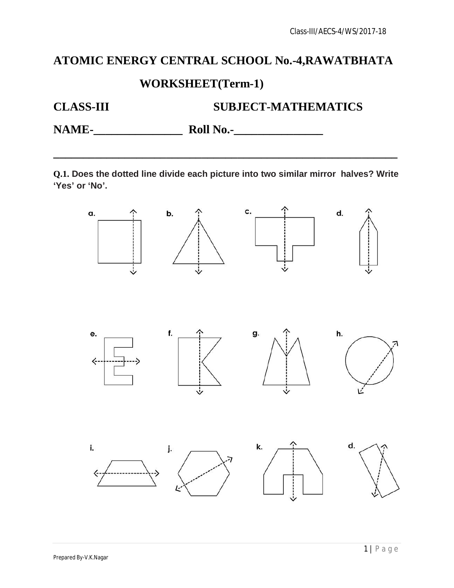# **ATOMIC ENERGY CENTRAL SCHOOL No.-4,RAWATBHATA**

## **WORKSHEET(Term-1)**

# **CLASS-III SUBJECT-MATHEMATICS**

**NAME-** Roll No.-

**Q.1. Does the dotted line divide each picture into two similar mirror halves? Write 'Yes' or 'No'.**

**\_\_\_\_\_\_\_\_\_\_\_\_\_\_\_\_\_\_\_\_\_\_\_\_\_\_\_\_\_\_\_\_\_\_\_\_\_\_\_\_\_\_\_\_\_\_\_\_\_\_\_\_\_\_\_\_\_\_**

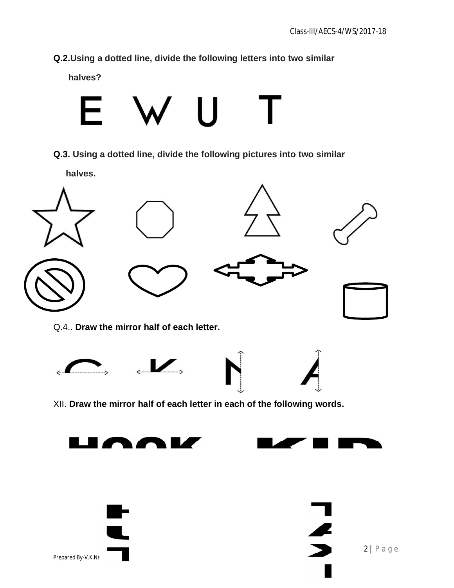**Q.2.Using a dotted line, divide the following letters into two similar** 

 **halves?**



**Q.3. Using a dotted line, divide the following pictures into two similar** 

 **halves.**

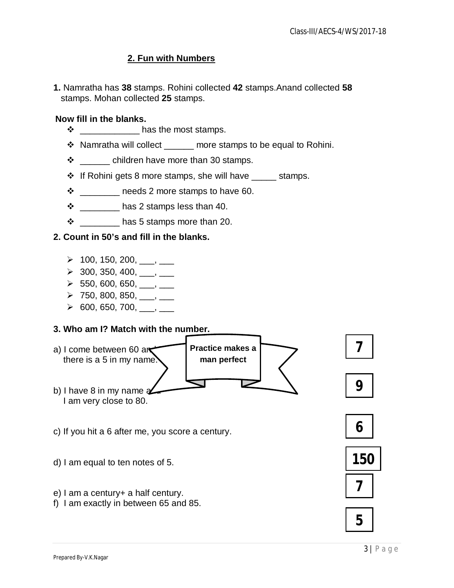#### **2. Fun with Numbers**

**1.** Namratha has **38** stamps. Rohini collected **42** stamps.Anand collected **58**  stamps. Mohan collected **25** stamps.

#### **Now fill in the blanks.**

- $\clubsuit$  **has the most stamps.**
- ❖ Namratha will collect more stamps to be equal to Rohini.
- $\div$  children have more than 30 stamps.
- $\div$  If Rohini gets 8 more stamps, she will have stamps.
- $\cdot \cdot$  \_\_\_\_\_\_\_\_\_ needs 2 more stamps to have 60.
- $\cdot \cdot$  \_\_\_\_\_\_\_\_\_\_ has 2 stamps less than 40.
- $\cdot \cdot$  \_\_\_\_\_\_\_\_\_\_ has 5 stamps more than 20.

#### **2. Count in 50's and fill in the blanks.**

- $\geq 100, 150, 200, \_\_\_\_\_\_\_\_\_\_\_$
- $\geq$  300, 350, 400, \_\_\_, \_\_
- $\triangleright$  550, 600, 650, \_\_\_, \_\_\_
- $\triangleright$  750, 800, 850, \_\_\_, \_\_\_
- $\triangleright$  600, 650, 700, \_\_\_, \_\_\_

#### **3. Who am I? Match with the number.**



**5**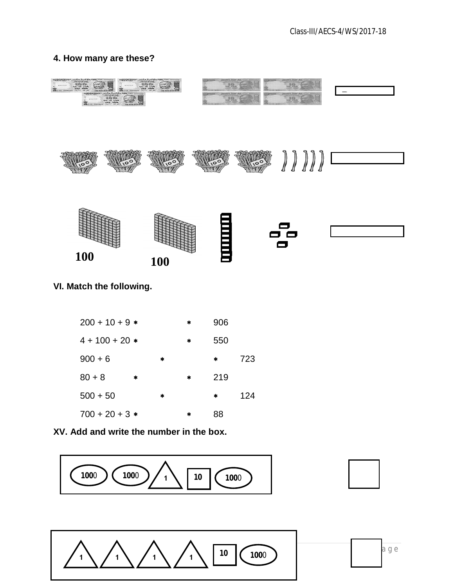#### **4. How many are these?**



| $4 + 100 + 20$ * |   |        | ж | აას |     |  |
|------------------|---|--------|---|-----|-----|--|
| $900 + 6$        |   | $\ast$ |   | *   | 723 |  |
| $80 + 8$         | ∗ |        | * | 219 |     |  |
| $500 + 50$       |   | *      |   | *   | 124 |  |
| $700 + 20 + 3*$  |   |        | * | 88  |     |  |

**XV. Add and write the number in the box.**



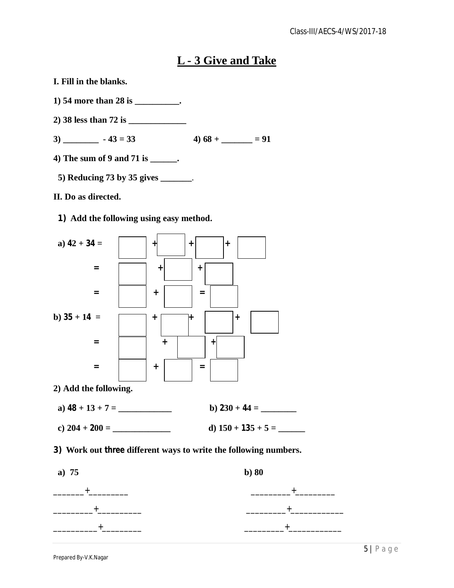## **L - 3 Give and Take**

- **I. Fill in the blanks.**
- **1) 54 more than 28 is \_\_\_\_\_\_\_\_\_\_.**
- **2) 38 less than 72 is \_\_\_\_\_\_\_\_\_\_\_\_\_**
- $3)$   $-43 = 33$   $4) 68 +$   $= 91$
- **4) The sum of 9 and 71 is \_\_\_\_\_\_.** 
	- **5) Reducing 73 by 35 gives \_\_\_\_\_\_\_**.
- **II. Do as directed.**
	- **1) Add the following using easy method.**



\_\_\_\_\_\_\_\_\_\_+\_\_\_\_\_\_\_\_\_ \_\_\_\_\_\_\_\_\_+\_\_\_\_\_\_\_\_\_\_\_\_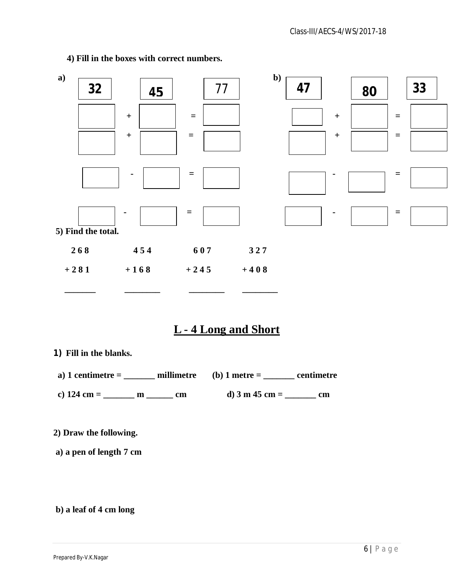

**4) Fill in the boxes with correct numbers.**

## **L - 4 Long and Short**

**1) Fill in the blanks.**

**a) 1 centimetre = \_\_\_\_\_\_\_ millimetre (b) 1 metre = \_\_\_\_\_\_\_ centimetre**

**c) 124 cm = \_\_\_\_\_\_\_ m \_\_\_\_\_\_ cm d) 3 m 45 cm = \_\_\_\_\_\_\_ cm**

**2) Draw the following.**

**a) a pen of length 7 cm**

**b) a leaf of 4 cm long**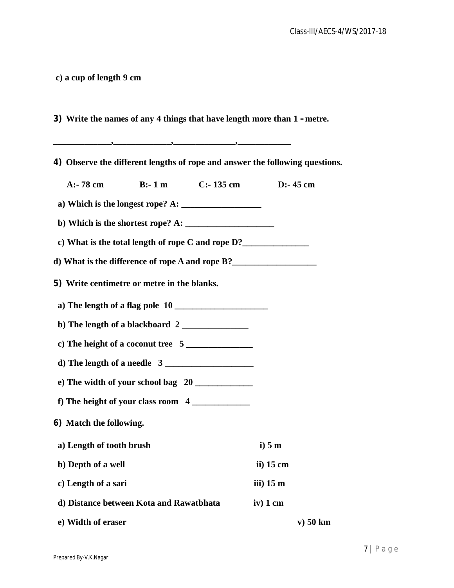**c) a cup of length 9 cm**

**3) Write the names of any 4 things that have length more than 1 – metre.**

**\_\_\_\_\_\_\_\_\_\_\_\_\_,\_\_\_\_\_\_\_\_\_\_\_\_\_,\_\_\_\_\_\_\_\_\_\_\_\_\_\_,\_\_\_\_\_\_\_\_\_\_\_\_**

**4) Observe the different lengths of rope and answer the following questions. A:- 78 cm B:- 1 m C:- 135 cm D:- 45 cm a) Which is the longest rope? A: \_\_\_\_\_\_\_\_\_\_\_\_\_\_\_\_\_\_ b) Which is the shortest rope? A: \_\_\_\_\_\_\_\_\_\_\_\_\_\_\_\_\_\_\_\_ c) What is the total length of rope C and rope D?\_\_\_\_\_\_\_\_\_\_\_\_\_\_\_ d) What is the difference of rope A and rope B?\_\_\_\_\_\_\_\_\_\_\_\_\_\_\_\_\_\_\_ 5) Write centimetre or metre in the blanks. a) The length of a flag pole 10 \_\_\_\_\_\_\_\_\_\_\_\_\_\_\_\_\_\_\_\_\_ b) The length of a blackboard 2 \_\_\_\_\_\_\_\_\_\_\_\_\_\_\_ c) The height of a coconut tree 5 \_\_\_\_\_\_\_\_\_\_\_\_\_\_\_ d) The length of a needle 3 \_\_\_\_\_\_\_\_\_\_\_\_\_\_\_\_\_\_\_\_ e) The width of your school bag 20 \_\_\_\_\_\_\_\_\_\_\_\_\_ f**) The height of your class room 4 **6) Match the following. a) Length of tooth brush i) 5 m b**) Depth of a well ii) 15 cm **c) Length of a sari iii) 15 m d) Distance between Kota and Rawatbhata iv) 1 cm e) Width of eraser v) 50 km**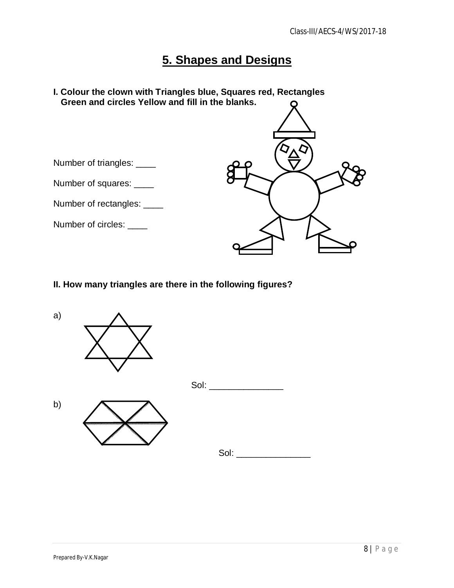## **5. Shapes and Designs**



### **II. How many triangles are there in the following figures?**

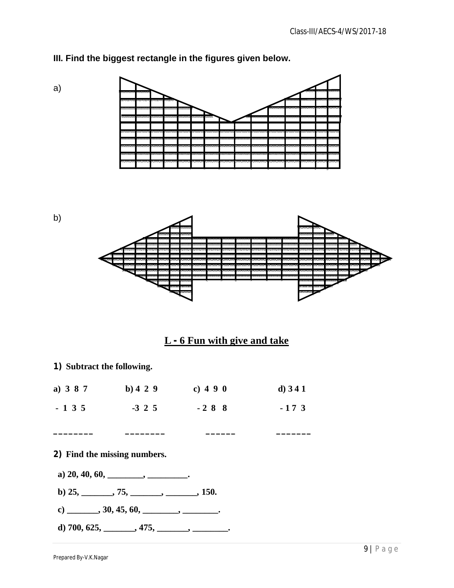

### **III. Find the biggest rectangle in the figures given below.**



| a) $387$ | b) 4 2 9 | c) 4 9 0 | d) $341$ |  |
|----------|----------|----------|----------|--|
| $-135$   | $-3$ 2 5 | $-288$   | $-173$   |  |

**\_\_\_\_\_\_\_\_ \_\_\_\_\_\_\_\_ \_\_\_\_\_\_ \_\_\_\_\_\_\_**

#### **2) Find the missing numbers.**

- **a) 20, 40, 60, \_\_\_\_\_\_\_\_, \_\_\_\_\_\_\_\_\_.**
- **b) 25, \_\_\_\_\_\_\_, 75, \_\_\_\_\_\_\_, \_\_\_\_\_\_\_, 150.**
- c) \_\_\_\_\_\_\_, 30, 45, 60, \_\_\_\_\_\_\_, \_\_\_\_\_\_\_\_.
- **d) 700, 625, \_\_\_\_\_\_\_, 475, \_\_\_\_\_\_\_, \_\_\_\_\_\_\_\_.**